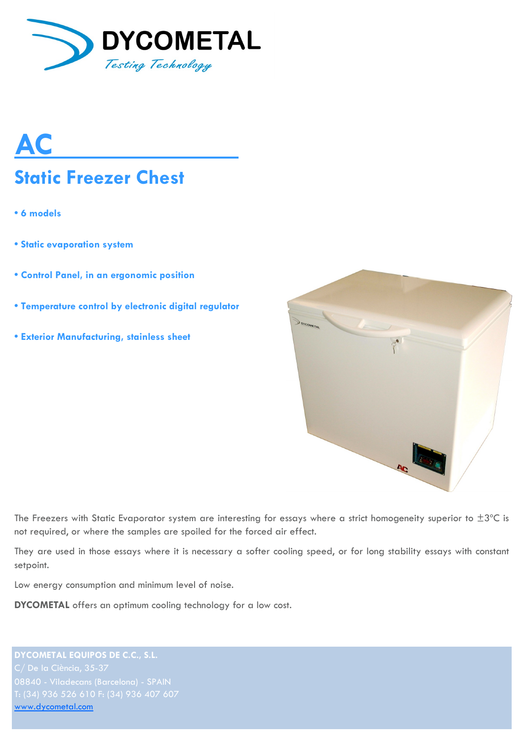

# **AC Static Freezer Chest**

- **6 models**
- **Static evaporation system**
- **Control Panel, in an ergonomic position**
- **Temperature control by electronic digital regulator**
- **Exterior Manufacturing, stainless sheet**



The Freezers with Static Evaporator system are interesting for essays where a strict homogeneity superior to  $\pm 3^{\circ}$ C is not required, or where the samples are spoiled for the forced air effect.

They are used in those essays where it is necessary a softer cooling speed, or for long stability essays with constant setpoint.

Low energy consumption and minimum level of noise.

**DYCOMETAL** offers an optimum cooling technology for a low cost.

**DYCOMETAL EQUIPOS DE C.C., S.L.** [www.dycometal.com](http://www.dycometal.com/)